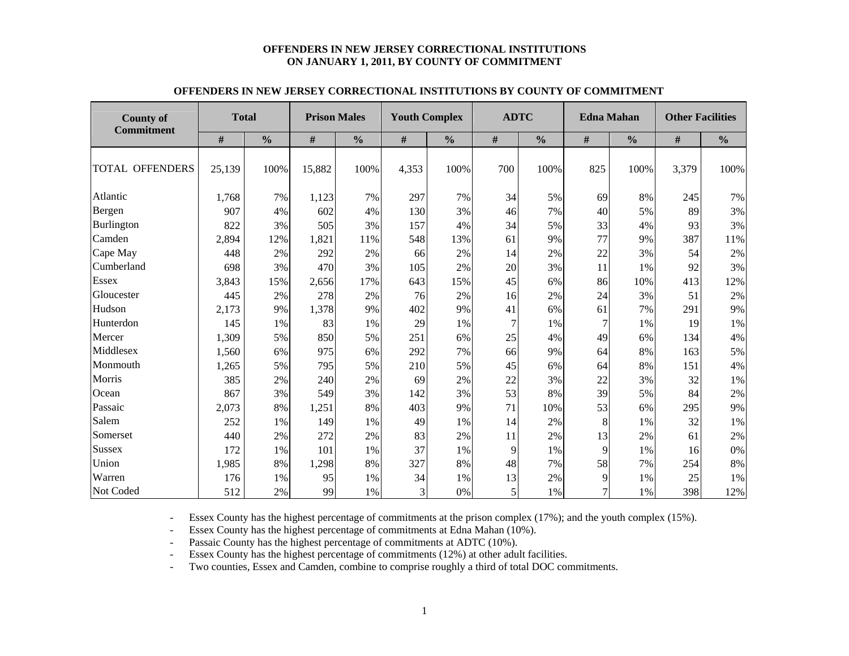#### **OFFENDERS IN NEW JERSEY CORRECTIONAL INSTITUTIONS ON JANUARY 1, 2011, BY COUNTY OF COMMITMENT**

| <b>County of</b><br><b>Commitment</b> | <b>Total</b> |               | <b>Prison Males</b> |               | <b>Youth Complex</b> |               | <b>ADTC</b>    |               | <b>Edna Mahan</b> |               | <b>Other Facilities</b> |               |  |
|---------------------------------------|--------------|---------------|---------------------|---------------|----------------------|---------------|----------------|---------------|-------------------|---------------|-------------------------|---------------|--|
|                                       | #            | $\frac{0}{0}$ | #                   | $\frac{0}{0}$ | #                    | $\frac{0}{0}$ | #              | $\frac{0}{0}$ | #                 | $\frac{0}{0}$ | #                       | $\frac{0}{0}$ |  |
| <b>TOTAL OFFENDERS</b>                | 25,139       | 100%          | 15,882              | 100%          | 4,353                | 100%          | 700            | 100%          | 825               | 100%          | 3,379                   | 100%          |  |
| Atlantic                              | 1,768        | 7%            | 1,123               | 7%            | 297                  | 7%            | 34             | 5%            | 69                | 8%            | 245                     | 7%            |  |
| Bergen                                | 907          | 4%            | 602                 | 4%            | 130                  | 3%            | 46             | 7%            | 40                | 5%            | 89                      | 3%            |  |
| <b>Burlington</b>                     | 822          | 3%            | 505                 | 3%            | 157                  | 4%            | 34             | 5%            | 33                | 4%            | 93                      | 3%            |  |
| Camden                                | 2,894        | 12%           | 1,821               | 11%           | 548                  | 13%           | 61             | 9%            | 77                | 9%            | 387                     | 11%           |  |
| Cape May                              | 448          | 2%            | 292                 | 2%            | 66                   | 2%            | 14             | 2%            | 22                | 3%            | 54                      | 2%            |  |
| Cumberland                            | 698          | 3%            | 470                 | 3%            | 105                  | 2%            | 20             | 3%            | 11                | 1%            | 92                      | 3%            |  |
| <b>Essex</b>                          | 3,843        | 15%           | 2,656               | 17%           | 643                  | 15%           | 45             | 6%            | 86                | 10%           | 413                     | 12%           |  |
| Gloucester                            | 445          | 2%            | 278                 | 2%            | 76                   | 2%            | 16             | 2%            | 24                | 3%            | 51                      | 2%            |  |
| Hudson                                | 2,173        | 9%            | 1,378               | 9%            | 402                  | 9%            | 41             | 6%            | 61                | 7%            | 291                     | 9%            |  |
| Hunterdon                             | 145          | 1%            | 83                  | 1%            | 29                   | 1%            | $\overline{7}$ | 1%            | 7                 | 1%            | 19                      | 1%            |  |
| Mercer                                | 1,309        | 5%            | 850                 | 5%            | 251                  | 6%            | 25             | 4%            | 49                | 6%            | 134                     | 4%            |  |
| Middlesex                             | 1,560        | 6%            | 975                 | 6%            | 292                  | 7%            | 66             | 9%            | 64                | 8%            | 163                     | 5%            |  |
| Monmouth                              | 1,265        | 5%            | 795                 | 5%            | 210                  | 5%            | 45             | 6%            | 64                | 8%            | 151                     | 4%            |  |
| Morris                                | 385          | 2%            | 240                 | 2%            | 69                   | 2%            | 22             | 3%            | 22                | 3%            | 32                      | 1%            |  |
| Ocean                                 | 867          | 3%            | 549                 | 3%            | 142                  | 3%            | 53             | 8%            | 39                | 5%            | 84                      | 2%            |  |
| Passaic                               | 2,073        | 8%            | 1,251               | 8%            | 403                  | 9%            | 71             | 10%           | 53                | 6%            | 295                     | 9%            |  |
| Salem                                 | 252          | 1%            | 149                 | 1%            | 49                   | 1%            | 14             | 2%            | 8                 | 1%            | 32                      | 1%            |  |
| Somerset                              | 440          | 2%            | 272                 | 2%            | 83                   | 2%            | 11             | 2%            | 13                | 2%            | 61                      | 2%            |  |
| Sussex                                | 172          | 1%            | 101                 | 1%            | 37                   | 1%            | 9              | 1%            | 9                 | 1%            | 16                      | 0%            |  |
| Union                                 | 1,985        | 8%            | 1,298               | 8%            | 327                  | 8%            | 48             | 7%            | 58                | 7%            | 254                     | 8%            |  |
| Warren                                | 176          | 1%            | 95                  | 1%            | 34                   | 1%            | 13             | 2%            | 9                 | 1%            | 25                      | 1%            |  |
| Not Coded                             | 512          | 2%            | 99                  | 1%            | 3                    | 0%            | 5              | 1%            | $\overline{7}$    | 1%            | 398                     | 12%           |  |

#### **OFFENDERS IN NEW JERSEY CORRECTIONAL INSTITUTIONS BY COUNTY OF COMMITMENT**

-Essex County has the highest percentage of commitments at the prison complex (17%); and the youth complex (15%).

-Essex County has the highest percentage of commitments at Edna Mahan (10%).

-Passaic County has the highest percentage of commitments at ADTC (10%).

-Essex County has the highest percentage of commitments (12%) at other adult facilities.

-Two counties, Essex and Camden, combine to comprise roughly a third of total DOC commitments.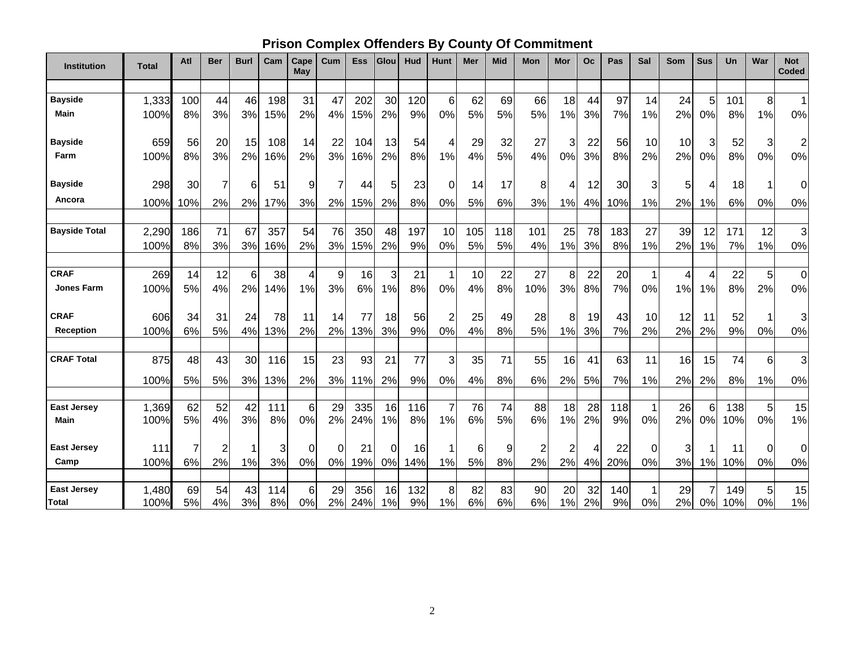# **Prison Complex Offenders By County Of Commitment**

| <b>Institution</b>   | <b>Total</b>  | Atl      | <b>Ber</b> | <b>Burl</b> | Cam       | Cape<br><b>May</b>   | Cum      | <b>Ess</b> | Glou     | Hud       | <b>Hunt</b>    | Mer      | <b>Mid</b> | Mon            | Mor            | Oc       | Pas       | Sal     | Som      | <b>Sus</b>     | Un         | War            | <b>Not</b><br><b>Coded</b> |
|----------------------|---------------|----------|------------|-------------|-----------|----------------------|----------|------------|----------|-----------|----------------|----------|------------|----------------|----------------|----------|-----------|---------|----------|----------------|------------|----------------|----------------------------|
|                      |               |          |            |             |           |                      |          |            |          |           |                |          |            |                |                |          |           |         |          |                |            |                |                            |
| <b>Bayside</b>       | 1,333         | 100      | 44         | 46          | 198       | 31                   | 47       | 202        | 30       | 120       | 6              | 62       | 69         | 66             | 18             | 44       | 97        | 14      | 24       | 5              | 101        | 8              | $\mathbf{1}$               |
| Main                 | 100%          | 8%       | 3%         | 3%          | 15%       | 2%                   | 4%       | 15%        | 2%       | 9%        | 0%             | 5%       | 5%         | 5%             | 1%             | 3%       | 7%        | 1%      | 2%       | 0%             | 8%         | 1%             | 0%                         |
| <b>Bayside</b>       | 659           | 56       | 20         | 15          | 108       | 14                   | 22       | 104        | 13       | 54        | 4              | 29       | 32         | 27             | 3              | 22       | 56        | 10      | 10       | 3              | 52         | 3              | $\overline{2}$             |
| Farm                 | 100%          | 8%       | 3%         | 2%          | 16%       | 2%                   | 3%       | 16%        | 2%       | 8%        | 1%             | 4%       | 5%         | 4%             | 0%             | 3%       | 8%        | 2%      | 2%       | 0%             | 8%         | 0%             | 0%                         |
| <b>Bayside</b>       | 298           | 30       | 7          | 6           | 51        | 9                    | 7        | 44         | 5        | 23        | $\Omega$       | 14       | 17         | 8              | 4              | 12       | 30        | 3       | 5        | 4              | 18         |                | $\Omega$                   |
| Ancora               | 100%          | 10%      | 2%         | 2%          | 17%       | 3%                   | 2%       | 15%        | 2%       | 8%        | 0%             | 5%       | 6%         | 3%             | 1%             | 4%       | 10%       | 1%      | 2%       | 1%             | 6%         | 0%             | 0%                         |
|                      |               |          |            |             |           |                      |          |            |          |           |                |          |            |                |                |          |           |         |          |                |            |                |                            |
| <b>Bayside Total</b> | 2,290         | 186      | 71         | 67          | 357       | 54                   | 76       | 350        | 48       | 197       | 10             | 105      | 118        | 101            | 25             | 78       | 183       | 27      | 39       | 12             | 171        | 12             | 3                          |
|                      | 100%          | 8%       | 3%         | 3%          | 16%       | 2%                   | 3%       | 15%        | 2%       | 9%        | 0%             | 5%       | 5%         | 4%             | 1%             | 3%       | 8%        | 1%      | 2%       | 1%             | 7%         | 1%             | 0%                         |
| <b>CRAF</b>          | 269           | 14       | 12         | 6           | 38        | $\overline{4}$       | 9        | 16         | 3        | 21        |                | 10       | 22         | 27             | 8              | 22       | 20        | 1       | 4        | $\overline{4}$ | 22         | 5              | $\mathbf 0$                |
| <b>Jones Farm</b>    | 100%          | 5%       | 4%         | 2%          | 14%       | 1%                   | 3%       | 6%         | 1%       | 8%        | 0%             | 4%       | 8%         | 10%            | 3%             | 8%       | 7%        | 0%      | 1%       | 1%             | 8%         | 2%             | 0%                         |
| <b>CRAF</b>          | 606           | 34       | 31         | 24          | 78        | 11                   | 14       | 77         | 18       | 56        | $\overline{2}$ | 25       | 49         | 28             | 8              | 19       | 43        | 10      | 12       | 11             | 52         |                | 3                          |
| <b>Reception</b>     | 100%          | 6%       | 5%         | 4%          | 13%       | 2%                   | 2%       | 13%        | 3%       | 9%        | 0%             | 4%       | 8%         | 5%             | 1%             | 3%       | 7%        | 2%      | 2%       | 2%             | 9%         | 0%             | 0%                         |
| <b>CRAF Total</b>    | 875           | 48       | 43         | 30          | 116       | 15                   | 23       | 93         | 21       | 77        | 3              | 35       | 71         | 55             | 16             | 41       | 63        | 11      | 16       | 15             | 74         | 6              | 3                          |
|                      | 100%          | 5%       | 5%         | 3%          | 13%       | 2%                   | 3%       | 11%        | 2%       | 9%        | 0%             | 4%       | 8%         | 6%             | 2%             | 5%       | 7%        | 1%      | 2%       | 2%             | 8%         | 1%             | 0%                         |
|                      |               |          |            |             |           |                      |          |            |          |           |                |          |            |                |                |          |           |         |          |                |            |                |                            |
| <b>East Jersey</b>   | 1,369         | 62       | 52         | 42          | 111       | 6                    | 29       | 335        | 16       | 116       |                | 76       | 74         | 88             | 18             | 28       | 118       | 1       | 26       | 6              | 138        | 5 <sup>1</sup> | 15                         |
| Main                 | 100%          | 5%       | 4%         | 3%          | 8%        | 0%                   | 2%       | 24%        | 1%       | 8%        | 1%             | 6%       | 5%         | 6%             | 1%             | 2%       | 9%        | 0%      | 2%       | 0%             | 10%        | 0%             | 1%                         |
| <b>East Jersey</b>   | 111           | 7        | 2          | 1           | 3         | $\Omega$             | 0        | 21         | 0        | 16        |                | 6        | 9          | $\overline{2}$ | $\overline{c}$ | 4        | 22        | 0       | 3        | 1              | 11         | 0              | 0                          |
| Camp                 | 100%          | 6%       | 2%         | 1%          | 3%        | 0%                   | 0%       | 19%        | 0%       | 14%       | 1%             | 5%       | 8%         | 2%             | 2%             | 4%       | 20%       | 0%      | 3%       | 1%             | 10%        | 0%             | 0%                         |
| <b>East Jersey</b>   |               |          |            |             |           |                      |          |            |          |           |                |          |            |                |                |          |           |         |          |                |            |                |                            |
| <b>Total</b>         | 1,480<br>100% | 69<br>5% | 54<br>4%   | 43<br>3%    | 114<br>8% | $6\phantom{.}$<br>0% | 29<br>2% | 356<br>24% | 16<br>1% | 132<br>9% | 8<br>1%        | 82<br>6% | 83<br>6%   | 90<br>6%       | 20<br>1%       | 32<br>2% | 140<br>9% | 1<br>0% | 29<br>2% | 0%             | 149<br>10% | 5<br>0%        | 15<br>1%                   |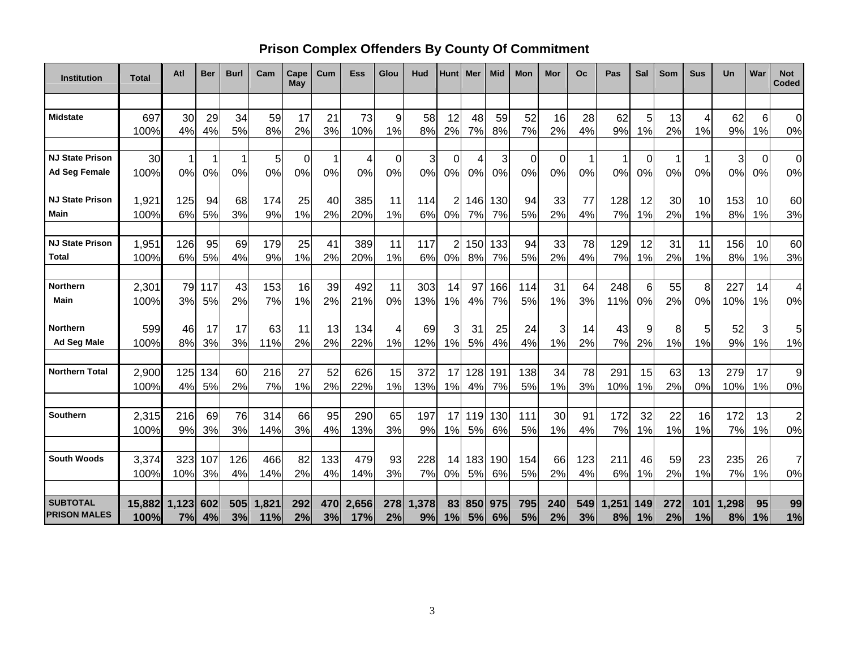### **Prison Complex Offenders By County Of Commitment**

| <b>Institution</b>     | <b>Total</b>  | Atl          | Ber       | <b>Burl</b> | Cam       | Cape<br>May    | Cum      | Ess        | Glou     | Hud        | <b>Hunt</b>    | Mer      | <b>Mid</b> | Mon         | Mor            | Oc       | Pas        | Sal         | Som      | <b>Sus</b>  | Un         | War      | <b>Not</b><br><b>Coded</b> |
|------------------------|---------------|--------------|-----------|-------------|-----------|----------------|----------|------------|----------|------------|----------------|----------|------------|-------------|----------------|----------|------------|-------------|----------|-------------|------------|----------|----------------------------|
|                        |               |              |           |             |           |                |          |            |          |            |                |          |            |             |                |          |            |             |          |             |            |          |                            |
| <b>Midstate</b>        | 697           | 30           | 29        | 34          | 59        | 17             | 21       | 73         | 9        | 58         | 12             | 48       | 59         | 52          | 16             | 28       | 62         | 5           | 13       | 4           | 62         | 6        | $\mathbf 0$                |
|                        | 100%          | 4%           | 4%        | 5%          | 8%        | 2%             | 3%       | 10%        | 1%       | 8%         | 2%             | 7%       | 8%         | 7%          | 2%             | 4%       | 9%         | 1%          | 2%       | 1%          | 9%         | 1%       | 0%                         |
| <b>NJ State Prison</b> | 30            | $\mathbf{1}$ |           |             |           | $\overline{0}$ |          | 4          | $\Omega$ | 3          | $\mathbf 0$    | 4        | 3          | $\mathbf 0$ | $\overline{0}$ |          | 1          | $\mathbf 0$ | 1        | $\mathbf 1$ |            |          | $\mathbf 0$                |
| <b>Ad Seg Female</b>   | 100%          | 0%           | 0%        | 1<br>0%     | 5<br>0%   | 0%             | -1<br>0% | 0%         | 0%       | 0%         | 0%             | 0%       | 0%         | 0%          | 0%             | 0%       | 0%         | 0%          | 0%       | 0%          | 3<br>0%    | 0<br>0%  | 0%                         |
|                        |               |              |           |             |           |                |          |            |          |            |                |          |            |             |                |          |            |             |          |             |            |          |                            |
| <b>NJ State Prison</b> | 1,921         | 125          | 94        | 68          | 174       | 25             | 40       | 385        | 11       | 114        |                | 146      | 130        | 94          | 33             | 77       | 128        | 12          | 30       | 10          | 153        | 10       | 60                         |
| Main                   | 100%          | 6%           | 5%        | 3%          | 9%        | 1%             | 2%       | 20%        | 1%       | 6%         | 0%             | 7%       | 7%         | 5%          | 2%             | 4%       | 7%         | 1%          | 2%       | 1%          | 8%         | 1%       | 3%                         |
|                        |               |              |           |             |           |                |          |            |          |            |                |          |            |             |                |          |            |             |          |             |            |          |                            |
| <b>NJ State Prison</b> | 1,951         | 126          | 95        | 69          | 179       | 25             | 41       | 389        | 11       | 117        | $\overline{c}$ | 150      | 133        | 94          | 33             | 78       | 129        | 12          | 31       | 11          | 156        | 10       | 60                         |
| Total                  | 100%          | 6%           | 5%        | 4%          | 9%        | 1%             | 2%       | 20%        | 1%       | 6%         | 0%             | 8%       | 7%         | 5%          | 2%             | 4%       | 7%         | 1%          | 2%       | 1%          | 8%         | 1%       | 3%                         |
|                        |               |              |           |             |           |                |          |            |          |            |                |          |            |             |                |          |            |             |          |             |            |          |                            |
| Northern<br>Main       | 2,301<br>100% | 79<br>3%     | 117<br>5% | 43<br>2%    | 153<br>7% | 16<br>1%       | 39<br>2% | 492<br>21% | 11<br>0% | 303<br>13% | 14<br>1%       | 97<br>4% | 166<br>7%  | 114<br>5%   | 31<br>1%       | 64<br>3% | 248<br>11% | 6<br>0%     | 55<br>2% | 8<br>0%     | 227<br>10% | 14<br>1% | 4<br>0%                    |
|                        |               |              |           |             |           |                |          |            |          |            |                |          |            |             |                |          |            |             |          |             |            |          |                            |
| <b>Northern</b>        | 599           | 46           | 17        | 17          | 63        | 11             | 13       | 134        | 4        | 69         | 3              | 31       | 25         | 24          | 3              | 14       | 43         | 9           | 8        | 5           | 52         | 3        | 5                          |
| <b>Ad Seg Male</b>     | 100%          | 8%           | 3%        | 3%          | 11%       | 2%             | 2%       | 22%        | 1%       | 12%        | 1%             | 5%       | 4%         | 4%          | 1%             | 2%       | 7%         | 2%          | 1%       | 1%          | 9%         | 1%       | 1%                         |
|                        |               |              |           |             |           |                |          |            |          |            |                |          |            |             |                |          |            |             |          |             |            |          |                            |
| <b>Northern Total</b>  | 2,900         | 125          | 134       | 60          | 216       | 27             | 52       | 626        | 15       | 372        | 17             | 128      | 191        | 138         | 34             | 78       | 291        | 15          | 63       | 13          | 279        | 17       | $\mathsf g$                |
|                        | 100%          | 4%           | 5%        | 2%          | 7%        | 1%             | 2%       | 22%        | 1%       | 13%        | 1%             | 4%       | 7%         | 5%          | 1%             | 3%       | 10%        | 1%          | 2%       | 0%          | 10%        | 1%       | 0%                         |
|                        |               |              |           |             |           |                |          |            |          |            |                |          |            |             |                |          |            |             |          |             |            |          |                            |
| Southern               | 2,315         | 216          | 69        | 76          | 314       | 66             | 95       | 290        | 65       | 197        | 17             | 119      | 130        | 111         | 30             | 91       | 172        | 32          | 22       | 16          | 172        | 13       | $\overline{2}$             |
|                        | 100%          | 9%           | 3%        | 3%          | 14%       | 3%             | 4%       | 13%        | 3%       | 9%         | 1%             | 5%       | 6%         | 5%          | 1%             | 4%       | 7%         | 1%          | 1%       | 1%          | 7%         | 1%       | 0%                         |
| <b>South Woods</b>     | 3,374         | 323          | 107       | 126         | 466       | 82             | 133      | 479        | 93       | 228        | 14             | 183      | 190        | 154         | 66             | 123      | 211        | 46          | 59       | 23          | 235        | 26       | 7                          |
|                        | 100%          | 10%          | 3%        | 4%          | 14%       | 2%             | 4%       | 14%        | 3%       | 7%         | 0%             | 5%       | 6%         | 5%          | 2%             | 4%       | 6%         | 1%          | 2%       | 1%          | 7%         | 1%       | 0%                         |
|                        |               |              |           |             |           |                |          |            |          |            |                |          |            |             |                |          |            |             |          |             |            |          |                            |
| <b>SUBTOTAL</b>        | 15,882        | 1,123        | 602       | 505         | 1,821     | 292            | 470      | 2,656      | 278      | 1,378      | 83             |          | 850 975    | 795         | 240            | 549      | 1,251      | 149         | 272      | 101         | 1,298      | 95       | 99                         |
| <b>PRISON MALES</b>    | 100%          | 7%           | 4%        | 3%          | 11%       | 2%             | 3%       | 17%        | 2%       | 9%         | 1%             | 5%       | 6%         | 5%          | 2%             | 3%       | 8%         | 1%          | 2%       | 1%          | 8%         | 1%       | 1%                         |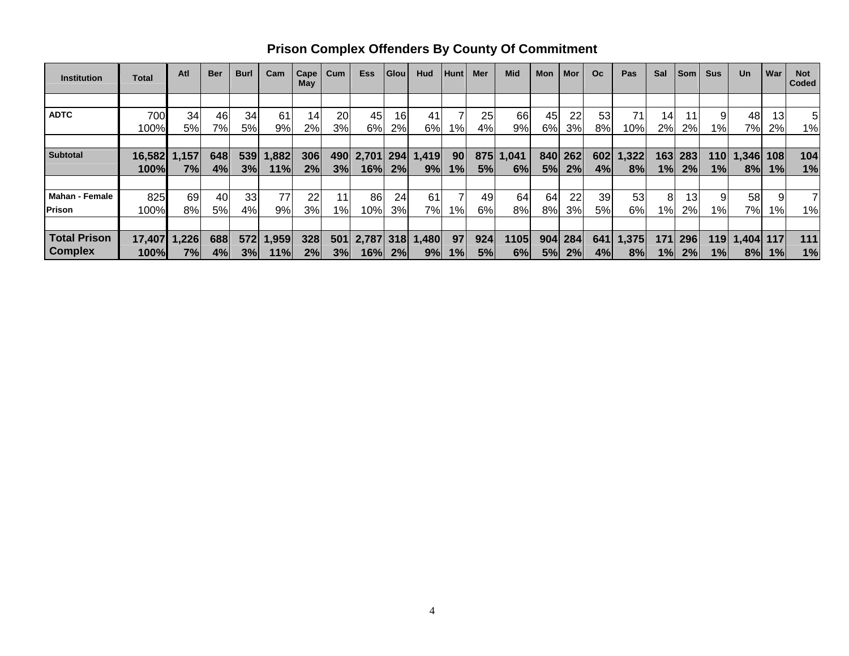| <b>Institution</b>    | Total  | Atl   | <b>Ber</b> | <b>Burl</b> | Cam   | Cape<br>May | Cum | <b>Ess</b> | Glou | Hud   | <b>Hunt</b> | <b>Mer</b> | <b>Mid</b> | Mon | Mor | O <sub>c</sub> | Pas   | Sal   | <b>Som</b>      | <b>Sus</b>      | Un    | War | <b>Not</b><br>Coded |
|-----------------------|--------|-------|------------|-------------|-------|-------------|-----|------------|------|-------|-------------|------------|------------|-----|-----|----------------|-------|-------|-----------------|-----------------|-------|-----|---------------------|
|                       |        |       |            |             |       |             |     |            |      |       |             |            |            |     |     |                |       |       |                 |                 |       |     |                     |
| <b>ADTC</b>           | 700    | 34    | 46         | 34          | 61    | 14          | 20  | 45         | 16   | 41    |             | 25         | 66         | 45  | 22  | 53             | 71    | 14    | 11              |                 | 48    | 13  |                     |
|                       | 100%   | 5%l   | 7%         | 5%          | 9%l   | 2%          | 3%  | 6%         | 2%   | 6%    | $1\%$       | 4%         | 9%         | 6%  | 3%  | 8%             | 10%   | 2%    | 2%              | 1% <sub>I</sub> | 7%    | 2%  | 1%                  |
|                       |        |       |            |             |       |             |     |            |      |       |             |            |            |     |     |                |       |       |                 |                 |       |     |                     |
| <b>Subtotal</b>       | 16,582 | 1,157 | 648        | 539         | 1,882 | 306         | 490 | 2,701      | 294  | 1,419 | 90          | 875        | 1,041      | 840 | 262 | 602            | 1,322 | 163   | 283             | 110             | 1,346 | 108 | 104                 |
|                       | 100%   | 7%    | 4%         | 3%          | 11%   | 2%          | 3%  | 16%        | 2%   | 9%    | 1%          | 5%         | 6%         | 5%  | 2%  | 4%             | 8%    | 1%    | 2%              | 1%              | 8%    | 1%  | 1%                  |
|                       |        |       |            |             |       |             |     |            |      |       |             |            |            |     |     |                |       |       |                 |                 |       |     |                     |
| <b>Mahan - Female</b> | 825    | 69    | 40         | 33          | 77    | 22          | 11  | 86         | 24   | 61    |             | 49         | 64         | 64  | 22  | 39             | 53    | 8     | 13 <sub>l</sub> |                 | 58    |     |                     |
| <b>Prison</b>         | 100%   | 8%    | 5%         | 4%          | 9%    | 3%          | 1%  | 10%        | 3%   | 7%I   | $1\%$       | 6%         | 8%         | 8%  | 3%  | 5%             | 6%    | $1\%$ | 2%              | $1\%$           | 7%    | 1%  | 1%                  |
|                       |        |       |            |             |       |             |     |            |      |       |             |            |            |     |     |                |       |       |                 |                 |       |     |                     |
| <b>Total Prison</b>   | 17,407 | 1,226 | 688        | 572         | 1,959 | 328         | 501 | 2,787      | 318  | 1,480 | 97          | 924        | 1105       | 904 | 284 | 641            | 1,375 | 171   | 296             | 119             | 1,404 | 117 | 111                 |
| <b>Complex</b>        | 100%   | 7%    | 4%         | 3%          | 11%l  | 2%          | 3%  | 16%        | 2%   | 9%    | 1%          | 5%         | 6%         | 5%  | 2%  | 4%             | 8%    | 1%    | 2%              | 1%              | 8%    | 1%  | 1%                  |

**Prison Complex Offenders By County Of Commitment**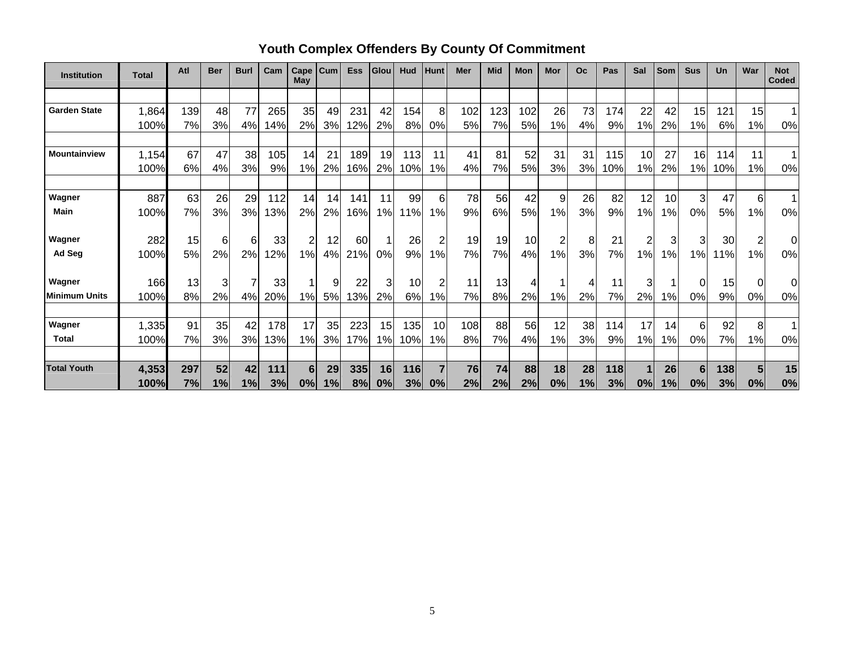| <b>Institution</b>  | <b>Total</b> | Atl | <b>Ber</b> | <b>Burl</b> | Cam | Cape<br>May    | Cum | <b>Ess</b> | Glou | Hud | <b>Hunt</b>    | Mer | <b>Mid</b> | <b>Mon</b> | Mor | <b>Oc</b> | Pas | Sal | Som           | <b>Sus</b> | Un  | War            | <b>Not</b><br><b>Coded</b> |
|---------------------|--------------|-----|------------|-------------|-----|----------------|-----|------------|------|-----|----------------|-----|------------|------------|-----|-----------|-----|-----|---------------|------------|-----|----------------|----------------------------|
|                     |              |     |            |             |     |                |     |            |      |     |                |     |            |            |     |           |     |     |               |            |     |                |                            |
| <b>Garden State</b> | 1,864        | 139 | 48         | 77          | 265 | 35             | 49  | 231        | 42   | 154 | 8              | 102 | 123        | 102        | 26  | 73        | 174 | 22  | 42            | 15         | 121 | 15             |                            |
|                     | 100%         | 7%  | 3%         | 4%          | 14% | 2%             | 3%  | 12%        | 2%   | 8%  | 0%             | 5%  | 7%         | 5%         | 1%  | 4%        | 9%  | 1%  | 2%            | 1%         | 6%  | 1%             | 0%                         |
|                     |              |     |            |             |     |                |     |            |      |     |                |     |            |            |     |           |     |     |               |            |     |                |                            |
| Mountainview        | 1,154        | 67  | 47         | 38          | 105 | 14             | 21  | 189        | 19   | 113 | 11             | 41  | 81         | 52         | 31  | 31        | 115 | 10  | 27            | 16         | 114 | 11             | 1                          |
|                     | 100%         | 6%  | 4%         | 3%          | 9%  | 1%             | 2%  | 16%        | 2%   | 10% | 1%             | 4%  | 7%         | 5%         | 3%  | 3%        | 10% | 1%  | 2%            | 1%         | 10% | 1%             | 0%                         |
|                     |              |     |            |             |     |                |     |            |      |     |                |     |            |            |     |           |     |     |               |            |     |                |                            |
| Wagner              | 887          | 63  | 26         | 29          | 112 | 14             | 14  | 141        | 11   | 99  | 6              | 78  | 56         | 42         | 9   | 26        | 82  | 12  | 10            | 3          | 47  | $6 \mid$       | $\mathbf{1}$               |
| <b>Main</b>         | 100%         | 7%  | 3%         | 3%          | 3%  | 2%             | 2%  | 16%        | 1%   | 11% | 1%             | 9%  | 6%         | 5%         | 1%  | 3%        | 9%  | 1%  | $\%$          | 0%         | 5%  | 1%             | 0%                         |
|                     |              |     |            |             |     |                |     |            |      |     |                |     |            |            |     |           |     |     |               |            |     |                |                            |
| Wagner              | 282          | 15  | 6          | 6           | 33  | $\overline{c}$ | 12  | 60         | 1    | 26  | $\overline{2}$ | 19  | 19         | 10         | 2   | 8         | 21  | 2   | 3             | 3          | 30  | $\overline{c}$ | 0                          |
| Ad Seg              | 100%         | 5%  | 2%         | 2%          | 2%  | 1%             | 4%  | 21%        | 0%   | 9%  | 1%             | 7%  | 7%         | 4%         | 1%  | 3%        | 7%  | 1%  | 1%            | 1%         | 11% | 1%             | 0%                         |
| Wagner              | 166          | 13  | 3          |             | 33  | 1              | 9   | 22         | 3    | 10  | 2              | 11  | 13         | 4          |     | 4         | 11  | 3   |               | 0          | 15  | $\overline{0}$ | 0                          |
| Minimum Units       | 100%         | 8%  | 2%         | 4%          | 20% | 1%             | 5%  | 13%        | 2%   | 6%  | 1%             | 7%  | 8%         | 2%         | 1%  | 2%        | 7%  | 2%  | 1%            | 0%         | 9%  | 0%             | 0%                         |
|                     |              |     |            |             |     |                |     |            |      |     |                |     |            |            |     |           |     |     |               |            |     |                |                            |
| Wagner              | 1,335        | 91  | 35         | 42          | 178 | 17             | 35  | 223        | 15   | 135 | 10             | 108 | 88         | 56         | 12  | 38        | 114 | 17  | 14            | 6          | 92  | 8              |                            |
| <b>Total</b>        | 100%         | 7%  | 3%         | 3%          | 13% | 1%             | 3%  | 17%        | 1%   | 10% | 1%             | 8%  | 7%         | 4%         | 1%  | 3%        | 9%  | 1%  | $\frac{9}{6}$ | 0%         | 7%  | 1%             | 0%                         |
|                     |              |     |            |             |     |                |     |            |      |     |                |     |            |            |     |           |     |     |               |            |     |                |                            |
| <b>Total Youth</b>  | 4,353        | 297 | 52         | 42          | 111 | 6              | 29  | 335        | 16   | 116 |                | 76  | 74         | 88         | 18  | 28        | 118 |     | 26            | 6          | 138 | 5              | 15                         |
|                     | 100%         | 7%  | 1%         | 1%          | 3%  | 0%             | 1%  | 8%         | 0%   | 3%  | 0%             | 2%  | 2%         | 2%         | 0%  | 1%        | 3%  | 0%  | 1%            | 0%         | 3%  | 0%             | 0%                         |

# **Youth Complex Offenders By County Of Commitment**